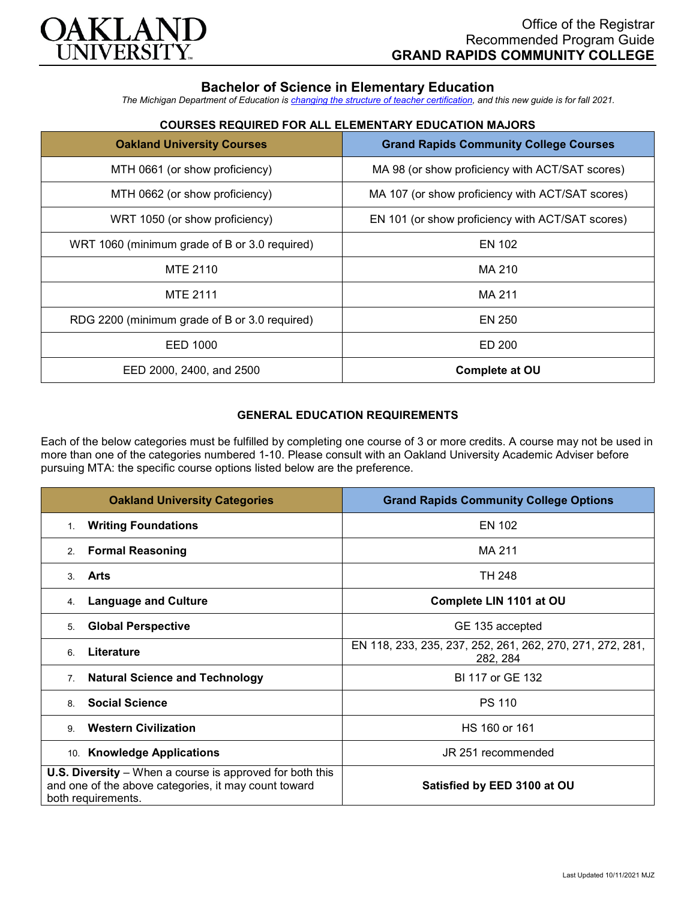

## **Bachelor of Science in Elementary Education**

*The Michigan Department of Education is [changing the structure of teacher certification,](https://docs.google.com/document/d/1W1uUK14Njx6WAB56T4jHbat65OZyg6TS04LdNWMXEcI/edit) and this new guide is for fall 2021.*

| COURSES REQUIRED FOR ALL ELEMENTARY EDUCATION MAJORS |                                                   |  |
|------------------------------------------------------|---------------------------------------------------|--|
| <b>Oakland University Courses</b>                    | <b>Grand Rapids Community College Courses</b>     |  |
| MTH NGG1 (or show proficiancy)                       | $MA$ Q8 (or show proficional with $ACT/SAT$ score |  |

| <b>COURSES REQUIRED FOR ALL ELEMENTARY EDUCATION MAJORS</b> |
|-------------------------------------------------------------|
|                                                             |

| MTH 0661 (or show proficiency)                | MA 98 (or show proficiency with ACT/SAT scores)  |
|-----------------------------------------------|--------------------------------------------------|
| MTH 0662 (or show proficiency)                | MA 107 (or show proficiency with ACT/SAT scores) |
| WRT 1050 (or show proficiency)                | EN 101 (or show proficiency with ACT/SAT scores) |
| WRT 1060 (minimum grade of B or 3.0 required) | EN 102                                           |
| <b>MTE 2110</b>                               | MA 210                                           |
| <b>MTE 2111</b>                               | MA 211                                           |
| RDG 2200 (minimum grade of B or 3.0 required) | EN 250                                           |
| EED 1000                                      | ED 200                                           |
| EED 2000, 2400, and 2500                      | <b>Complete at OU</b>                            |

## **GENERAL EDUCATION REQUIREMENTS**

Each of the below categories must be fulfilled by completing one course of 3 or more credits. A course may not be used in more than one of the categories numbered 1-10. Please consult with an Oakland University Academic Adviser before pursuing MTA: the specific course options listed below are the preference.

| <b>Oakland University Categories</b>                                                                                                          | <b>Grand Rapids Community College Options</b>                         |
|-----------------------------------------------------------------------------------------------------------------------------------------------|-----------------------------------------------------------------------|
| <b>Writing Foundations</b><br>1 <sub>1</sub>                                                                                                  | EN 102                                                                |
| <b>Formal Reasoning</b><br>2.                                                                                                                 | MA 211                                                                |
| Arts<br>$\mathcal{S}$                                                                                                                         | TH 248                                                                |
| <b>Language and Culture</b><br>4.                                                                                                             | Complete LIN 1101 at OU                                               |
| <b>Global Perspective</b><br>5.                                                                                                               | GE 135 accepted                                                       |
| Literature<br>6                                                                                                                               | EN 118, 233, 235, 237, 252, 261, 262, 270, 271, 272, 281,<br>282, 284 |
| <b>Natural Science and Technology</b><br>7 <sub>1</sub>                                                                                       | BI 117 or GE 132                                                      |
| <b>Social Science</b><br>8.                                                                                                                   | <b>PS 110</b>                                                         |
| <b>Western Civilization</b><br>9                                                                                                              | HS 160 or 161                                                         |
| 10. Knowledge Applications                                                                                                                    | JR 251 recommended                                                    |
| <b>U.S. Diversity</b> – When a course is approved for both this<br>and one of the above categories, it may count toward<br>both requirements. | Satisfied by EED 3100 at OU                                           |